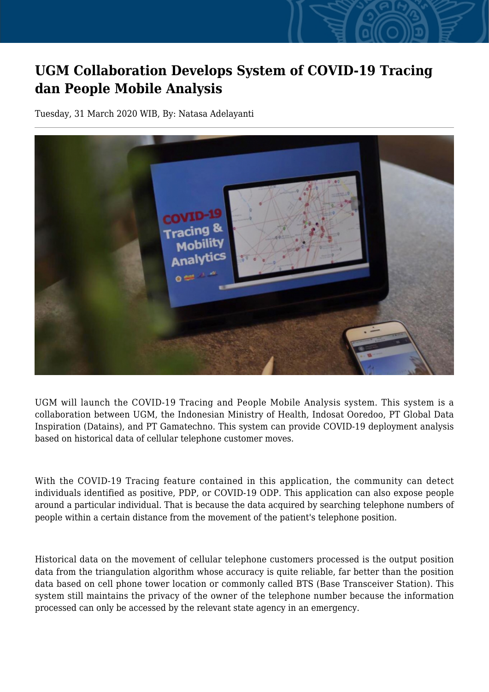## **UGM Collaboration Develops System of COVID-19 Tracing dan People Mobile Analysis**

Tuesday, 31 March 2020 WIB, By: Natasa Adelayanti



UGM will launch the COVID-19 Tracing and People Mobile Analysis system. This system is a collaboration between UGM, the Indonesian Ministry of Health, Indosat Ooredoo, PT Global Data Inspiration (Datains), and PT Gamatechno. This system can provide COVID-19 deployment analysis based on historical data of cellular telephone customer moves.

With the COVID-19 Tracing feature contained in this application, the community can detect individuals identified as positive, PDP, or COVID-19 ODP. This application can also expose people around a particular individual. That is because the data acquired by searching telephone numbers of people within a certain distance from the movement of the patient's telephone position.

Historical data on the movement of cellular telephone customers processed is the output position data from the triangulation algorithm whose accuracy is quite reliable, far better than the position data based on cell phone tower location or commonly called BTS (Base Transceiver Station). This system still maintains the privacy of the owner of the telephone number because the information processed can only be accessed by the relevant state agency in an emergency.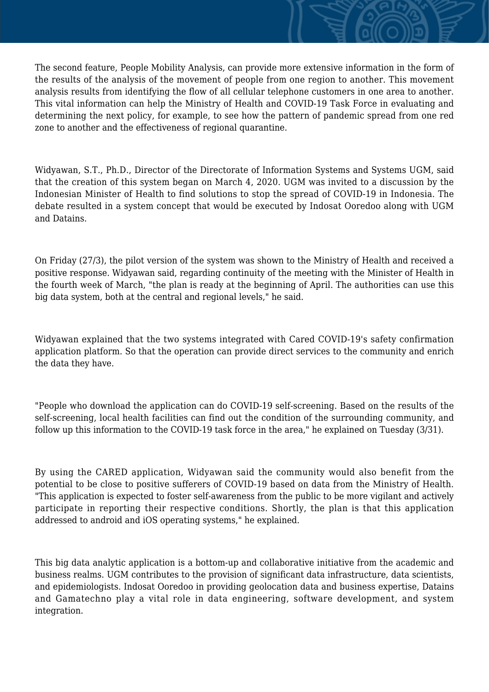The second feature, People Mobility Analysis, can provide more extensive information in the form of the results of the analysis of the movement of people from one region to another. This movement analysis results from identifying the flow of all cellular telephone customers in one area to another. This vital information can help the Ministry of Health and COVID-19 Task Force in evaluating and determining the next policy, for example, to see how the pattern of pandemic spread from one red zone to another and the effectiveness of regional quarantine.

Widyawan, S.T., Ph.D., Director of the Directorate of Information Systems and Systems UGM, said that the creation of this system began on March 4, 2020. UGM was invited to a discussion by the Indonesian Minister of Health to find solutions to stop the spread of COVID-19 in Indonesia. The debate resulted in a system concept that would be executed by Indosat Ooredoo along with UGM and Datains.

On Friday (27/3), the pilot version of the system was shown to the Ministry of Health and received a positive response. Widyawan said, regarding continuity of the meeting with the Minister of Health in the fourth week of March, "the plan is ready at the beginning of April. The authorities can use this big data system, both at the central and regional levels," he said.

Widyawan explained that the two systems integrated with Cared COVID-19's safety confirmation application platform. So that the operation can provide direct services to the community and enrich the data they have.

"People who download the application can do COVID-19 self-screening. Based on the results of the self-screening, local health facilities can find out the condition of the surrounding community, and follow up this information to the COVID-19 task force in the area," he explained on Tuesday (3/31).

By using the CARED application, Widyawan said the community would also benefit from the potential to be close to positive sufferers of COVID-19 based on data from the Ministry of Health. "This application is expected to foster self-awareness from the public to be more vigilant and actively participate in reporting their respective conditions. Shortly, the plan is that this application addressed to android and iOS operating systems," he explained.

This big data analytic application is a bottom-up and collaborative initiative from the academic and business realms. UGM contributes to the provision of significant data infrastructure, data scientists, and epidemiologists. Indosat Ooredoo in providing geolocation data and business expertise, Datains and Gamatechno play a vital role in data engineering, software development, and system integration.